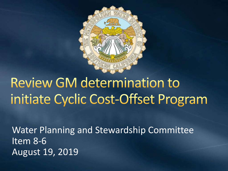

# **Review GM determination to** initiate Cyclic Cost-Offset Program

Water Planning and Stewardship Committee Item 8-6 August 19, 2019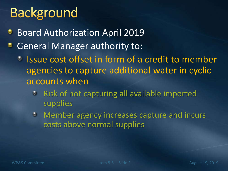# **Background**

- **Board Authorization April 2019**
- General Manager authority to:
	- **Issue cost offset in form of a credit to member** agencies to capture additional water in cyclic accounts when
		- **P** Risk of not capturing all available imported supplies
		- Member agency increases capture and incurs costs above normal supplies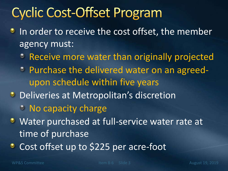## **Cyclic Cost-Offset Program**

- In order to receive the cost offset, the member ۰ agency must:
	- **Receive more water than originally projected**
	- Purchase the delivered water on an agreedupon schedule within five years
- **Deliveries at Metropolitan's discretion** 
	- <sup>2</sup> No capacity charge
- Water purchased at full-service water rate at time of purchase
- Cost offset up to \$225 per acre-foot۰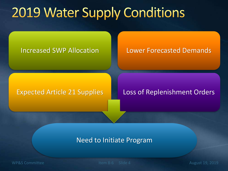## **2019 Water Supply Conditions**

Increased SWP Allocation **Lower Forecasted Demands** 

### Expected Article 21 Supplies | Loss of Replenishment Orders

### Need to Initiate Program

WP&S Committee The Item 8-6 Slide 4 August 19, 2019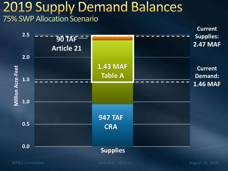## **2019 Supply Demand Balances** 75% SWP Allocation Scenario



WP&S Committee The Item 8-6 Slide 5 August 19, 2019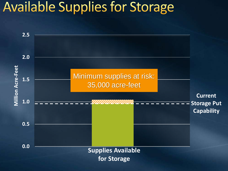## **Available Supplies for Storage**

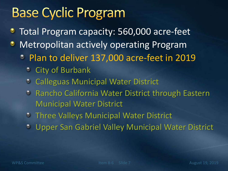## **Base Cyclic Program**

- Total Program capacity: 560,000 acre-feet ٥
- Metropolitan actively operating Program ٠
	- Plan to deliver 137,000 acre-feet in 2019
		- **City of Burbank**
		- Calleguas Municipal Water District
		- **C** Rancho California Water District through Eastern Municipal Water District
		- Three Valleys Municipal Water District
		- Upper San Gabriel Valley Municipal Water District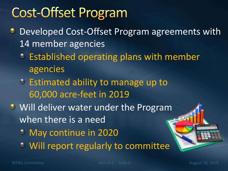## **Cost-Offset Program**

- Developed Cost-Offset Program agreements with ۰ 14 member agencies
	- **Established operating plans with member** agencies
	- Estimated ability to manage up to 60,000 acre-feet in 2019
- **Will deliver water under the Program** when there is a need
	- May continue in 2020
	- Will report regularly to committee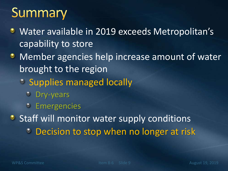## Summary

- Water available in 2019 exceeds Metropolitan's ۰ capability to store
- **Member agencies help increase amount of water** brought to the region
	- **Supplies managed locally** 
		- Dry-years
		- Emergencies

**Staff will monitor water supply conditions Decision to stop when no longer at risk**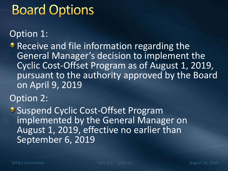## **Board Options**

## Option 1:

**• Receive and file information regarding the** General Manager's decision to implement the Cyclic Cost-Offset Program as of August 1, 2019, pursuant to the authority approved by the Board on April 9, 2019

Option 2:

**• Suspend Cyclic Cost-Offset Program** implemented by the General Manager on August 1, 2019, effective no earlier than September 6, 2019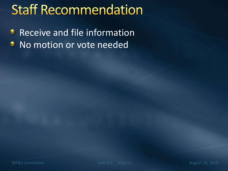## **Staff Recommendation**

Receive and file information ۰ No motion or vote needed٠